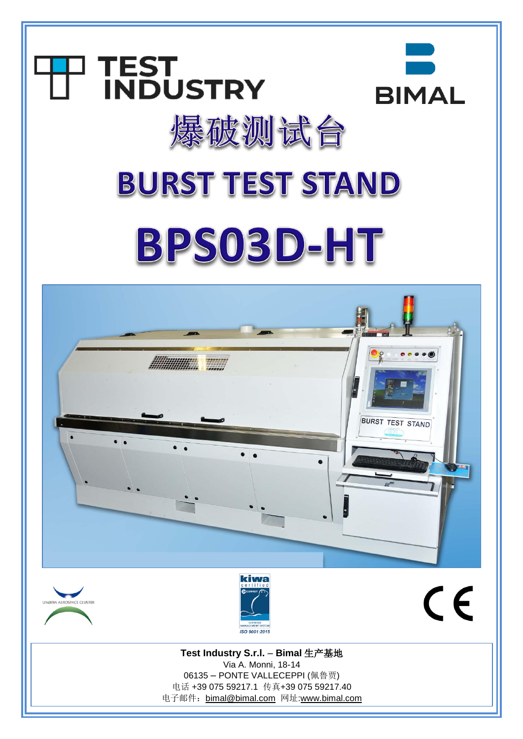





 $C \in$ 

**Test Industry S.r.l.** – **Bimal** 生产基地 Via A. Monni, 18-14 06135 – PONTE VALLECEPPI (佩鲁贾) 电话 +39 075 59217.1 传真+39 075 59217.40 电子邮件:[bimal@bimal.com](mailto:bimal@bimal.com) 网址[:www.bimal.com](http://www.bimal.com/)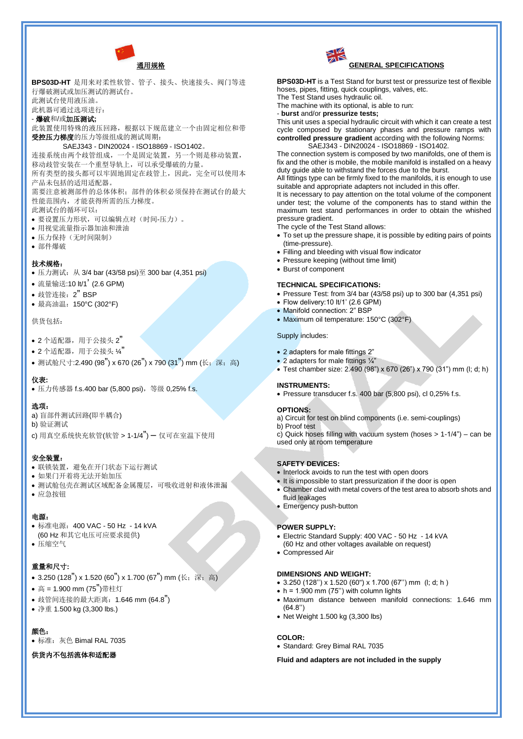

**BPS03D-HT** 是用来对柔性软管、管子、接头、快速接头、阀门等进 行爆破测试或加压测试的测试台。 此测试台使用液压油。 此机器可通过选项进行: - 爆破和/或加压测试**;** 此装置使用特殊的液压回路,根据以下规范建立一个由固定相位和带 受控压力梯度的压力等级组成的测试周期:

## SAEJ343 - DIN20024 - ISO18869 - ISO1402。

连接系统由两个歧管组成,一个是固定装置,另一个则是移动装置, 移动歧管安装在一个重型导轨上,可以承受爆破的力量。

所有类型的接头都可以牢固地固定在歧管上,因此,完全可以使用本 产品未包括的适用适配器。

需要注意被测部件的总体体积;部件的体积必须保持在测试台的最大 性能范围内,才能获得所需的压力梯度。

- 此测试台的循环可以:
- 要设置压力形状,可以编辑点对(时间-压力)。
- 用视觉流量指示器加油和泄油
- 压力保持(无时间限制)
- 部件爆破

## 技术规格:

- 压力测试:从 3/4 bar (43/58 psi)至 300 bar (4,351 psi)
- 流量输送:10 lt/1' (2.6 GPM)
- 歧管连接:2" BSP
- 最高油温:150°C (302°F)

供货包括:

- $\bullet$  2 个适配器, 用于公接头 2"
- $\bullet$  2 个适配器, 用于公接头  $\chi$ "
- 测试舱尺寸:2.490 (98") x 670 (26") x 790 (31") mm (长; 深; 高)

#### 仪表**:**

• 压力传感器 f.s.400 bar (5,800 psi), 等级 0,25% f.s.

#### 选项:

- a) 盲部件测试回路(即半耦合)
- b) 验证测试
- c) 用真空系统快充软管(软管 > 1-1/4") 仅可在室温下使用

## 安全装置:

- 联锁装置,避免在开门状态下运行测试
- 如果门开着将无法开始加压
- 测试舱包壳在测试区域配备金属覆层,可吸收迸射和液体泄漏
- 应急按钮

#### 电源:

- 标准电源:400 VAC 50 Hz 14 kVA
- (60 Hz 和其它电压可应要求提供)
- 压缩空气

## 重量和尺寸**:**

- 3.250 (128") x 1.520 (60") x 1.700 (67") mm (长; 深; 高)
- 高 = 1.900 mm (75")带柱灯
- 歧管间连接的最大距离:1.646 mm (64.8")
- 净重 1.500 kg (3,300 lbs.)

# 颜色:

• 标准: 灰色 Bimal RAL 7035

## 供货内不包括流体和适配器



**BPS03D-HT** is a Test Stand for burst test or pressurize test of flexible hoses, pipes, fitting, quick couplings, valves, etc.

The Test Stand uses hydraulic oil. The machine with its optional, is able to run:

- **burst** and/or **pressurize tests;**

This unit uses a special hydraulic circuit with which it can create a test cycle composed by stationary phases and pressure ramps with **controlled pressure gradient** according with the following Norms: SAEJ343 - DIN20024 - ISO18869 - ISO1402.

The connection system is composed by two manifolds, one of them is fix and the other is mobile, the mobile manifold is installed on a heavy duty guide able to withstand the forces due to the burst.

All fittings type can be firmly fixed to the manifolds, it is enough to use suitable and appropriate adapters not included in this offer.

It is necessary to pay attention on the total volume of the component under test; the volume of the components has to stand within the maximum test stand performances in order to obtain the whished pressure gradient.

The cycle of the Test Stand allows:

- To set up the pressure shape, it is possible by editing pairs of points (time-pressure).
- Filling and bleeding with visual flow indicator
- Pressure keeping (without time limit)
- Burst of component

## **TECHNICAL SPECIFICATIONS:**

- Pressure Test: from 3/4 bar (43/58 psi) up to 300 bar (4,351 psi)
- Flow delivery:10 lt/1' (2.6 GPM)
- Manifold connection: 2" BSP
- Maximum oil temperature: 150°C (302°F)

#### Supply includes:

- 2 adapters for male fittings 2"
- 2 adapters for male fittings 1/4"
- Test chamber size: 2.490 (98") x 670 (26") x 790 (31") mm (l; d; h)

#### **INSTRUMENTS:**

• Pressure transducer f.s. 400 bar (5,800 psi), cl 0,25% f.s.

### **OPTIONS:**

a) Circuit for test on blind components (i.e. semi-couplings)

b) Proof test c) Quick hoses filling with vacuum system (hoses > 1-1/4") – can be

used only at room temperature

## **SAFETY DEVICES:**

- Interlock avoids to run the test with open doors
- It is impossible to start pressurization if the door is open
- Chamber clad with metal covers of the test area to absorb shots and fluid leakages
- Emergency push-button

#### **POWER SUPPLY:**

- Electric Standard Supply: 400 VAC 50 Hz 14 kVA (60 Hz and other voltages available on request)
- Compressed Air

#### **DIMENSIONS AND WEIGHT:**

- 3.250 (128'') x 1.520 (60") x 1.700 (67'') mm (l; d; h )
- $\bullet$  h = 1.900 mm (75") with column lights
- Maximum distance between manifold connections: 1.646 mm (64.8'')
- Net Weight 1.500 kg (3.300 lbs)

### **COLOR:**

• Standard: Grey Bimal RAL 7035

### **Fluid and adapters are not included in the supply**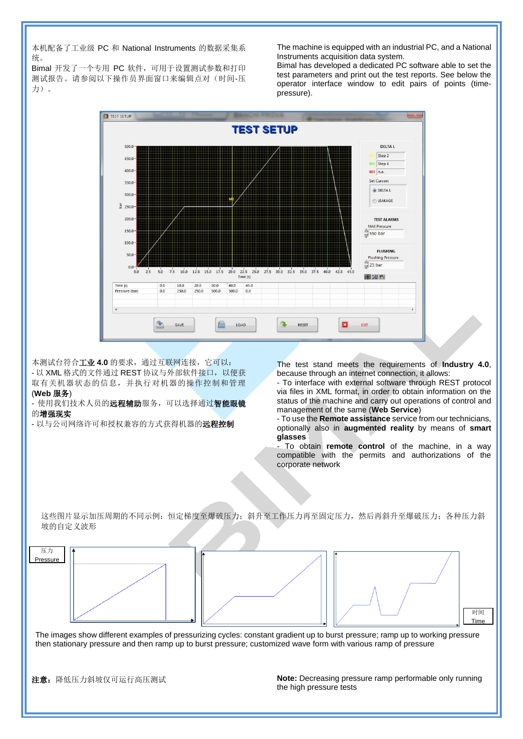本机配备了工业级 PC 和 National Instruments 的数据采集系 统。

Bimal 开发了一个专用 PC 软件, 可用于设置测试参数和打印 测试报告。请参阅以下操作员界面窗口来编辑点对(时间-压 力)。

The machine is equipped with an industrial PC, and a National Instruments acquisition data system.

Bimal has developed a dedicated PC software able to set the test parameters and print out the test reports. See below the operator interface window to edit pairs of points (timepressure).



本测试台符合工业 **4.0** 的要求,通过互联网连接,它可以: - 以 XML 格式的文件通过 REST 协议与外部软件接口, 以便获 取有关机器状态的信息,并执行对机器的操作控制和管理 (**Web** 服务)

使用我们技术人员的**远程辅助**服务,可以选择通过智能眼镜 的增强现实

- 以与公司网络许可和授权兼容的方式获得机器的**远程控制** 

The test stand meets the requirements of **Industry 4.0**, because through an internet connection, it allows:

- To interface with external software through REST protocol via files in XML format, in order to obtain information on the status of the machine and carry out operations of control and management of the same (**Web Service**)

- To use the **Remote assistance** service from our technicians, optionally also in **augmented reality** by means of **smart glasses**

- To obtain **remote control** of the machine, in a way compatible with the permits and authorizations of the corporate network

这些图片显示加压周期的不同示例:恒定梯度至爆破压力;斜升至工作压力再至固定压力,然后再斜升至爆破压力;各种压力斜 坡的自定义波形



The images show different examples of pressurizing cycles: constant gradient up to burst pressure; ramp up to working pressure then stationary pressure and then ramp up to burst pressure; customized wave form with various ramp of pressure

注意:降低压力斜坡仅可运行高压测试

**Note:** Decreasing pressure ramp performable only running the high pressure tests